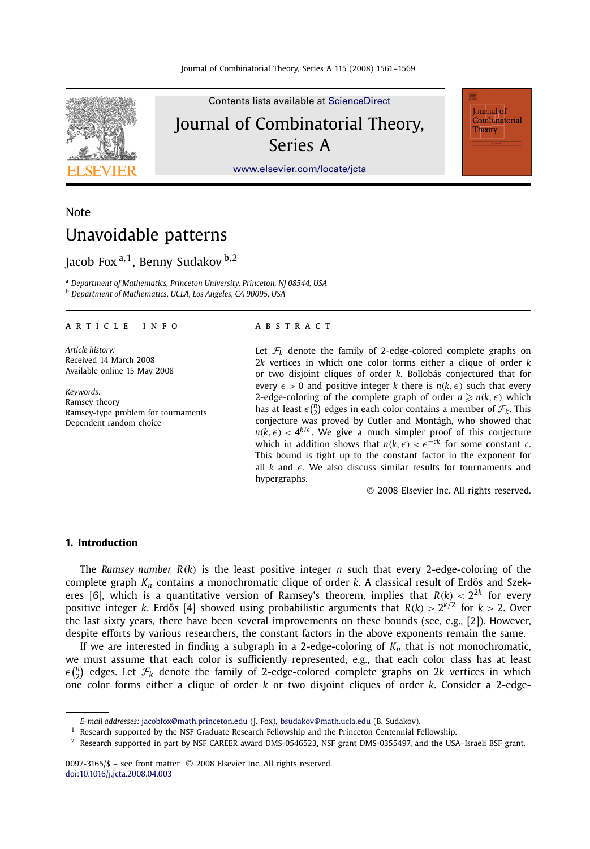

Contents lists available at [ScienceDirect](http://www.ScienceDirect.com/) Journal of Combinatorial Theory, Series A

Journal of Combinatorial Theory

[www.elsevier.com/locate/jcta](http://www.elsevier.com/locate/jcta)

# **Note** Unavoidable patterns

## Jacob Fox <sup>a</sup>*,*1, Benny Sudakov <sup>b</sup>*,*<sup>2</sup>

<sup>a</sup> *Department of Mathematics, Princeton University, Princeton, NJ 08544, USA* <sup>b</sup> *Department of Mathematics, UCLA, Los Angeles, CA 90095, USA*

#### article info abstract

*Article history:* Received 14 March 2008 Available online 15 May 2008

*Keywords:* Ramsey theory Ramsey-type problem for tournaments Dependent random choice

Let  $\mathcal{F}_k$  denote the family of 2-edge-colored complete graphs on 2*k* vertices in which one color forms either a clique of order *k* or two disjoint cliques of order *k*. Bollobás conjectured that for every  $\epsilon > 0$  and positive integer *k* there is  $n(k, \epsilon)$  such that every 2-edge-coloring of the complete graph of order  $n \ge n(k, \epsilon)$  which has at least  $\epsilon \binom{n}{2}$  edges in each color contains a member of  $\mathcal{F}_k$ . This conjecture was proved by Cutler and Montágh, who showed that  $n(k, \epsilon) < 4^{k/\epsilon}$ . We give a much simpler proof of this conjecture which in addition shows that  $n(k, \epsilon) < \epsilon^{-ck}$  for some constant *c*. This bound is tight up to the constant factor in the exponent for all  $k$  and  $\epsilon$ . We also discuss similar results for tournaments and hypergraphs.

© 2008 Elsevier Inc. All rights reserved.

## **1. Introduction**

The *Ramsey number*  $R(k)$  is the least positive integer *n* such that every 2-edge-coloring of the complete graph  $K_n$  contains a monochromatic clique of order *k*. A classical result of Erdős and Szekeres [6], which is a quantitative version of Ramsey's theorem, implies that  $R(k) < 2^{2k}$  for every positive integer *k*. Erdős [4] showed using probabilistic arguments that  $R(k) > 2^{k/2}$  for  $k > 2$ . Over the last sixty years, there have been several improvements on these bounds (see, e.g., [2]). However, despite efforts by various researchers, the constant factors in the above exponents remain the same.

If we are interested in finding a subgraph in a 2-edge-coloring of *Kn* that is not monochromatic, we must assume that each color is sufficiently represented, e.g., that each color class has at least  $\epsilon\binom{n}{2}$  edges. Let  $\mathcal{F}_k$  denote the family of 2-edge-colored complete graphs on 2*k* vertices in which 2 one color forms either a clique of order *k* or two disjoint cliques of order *k*. Consider a 2-edge-

*E-mail addresses:* [jacobfox@math.princeton.edu](mailto:jacobfox@math.princeton.edu) (J. Fox), [bsudakov@math.ucla.edu](mailto:bsudakov@math.ucla.edu) (B. Sudakov).

 $1$  Research supported by the NSF Graduate Research Fellowship and the Princeton Centennial Fellowship.

 $^2$  Research supported in part by NSF CAREER award DMS-0546523, NSF grant DMS-0355497, and the USA–Israeli BSF grant.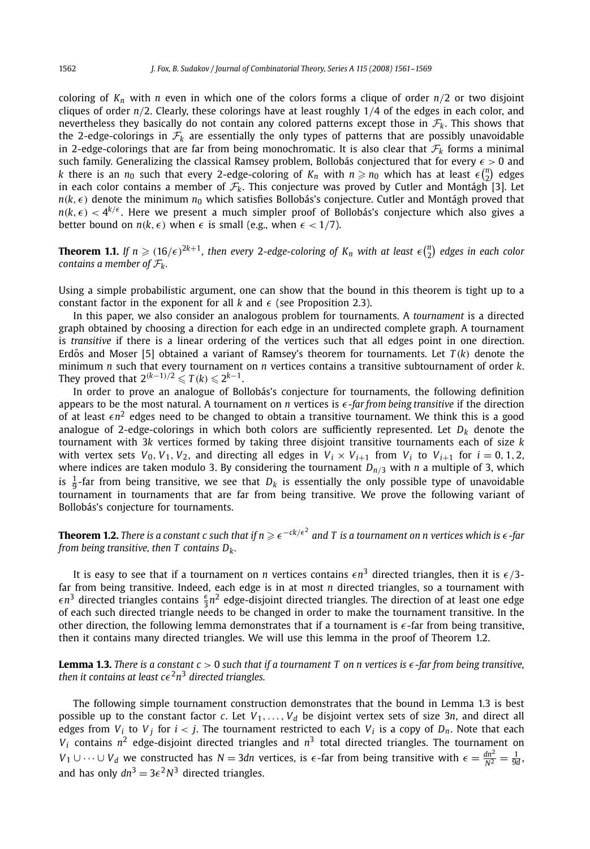coloring of  $K_n$  with *n* even in which one of the colors forms a clique of order  $n/2$  or two disjoint cliques of order *n/*2. Clearly, these colorings have at least roughly 1*/*4 of the edges in each color, and nevertheless they basically do not contain any colored patterns except those in  $\mathcal{F}_k$ . This shows that the 2-edge-colorings in  $\mathcal{F}_k$  are essentially the only types of patterns that are possibly unavoidable in 2-edge-colorings that are far from being monochromatic. It is also clear that  $\mathcal{F}_k$  forms a minimal such family. Generalizing the classical Ramsey problem, Bollobás conjectured that for every  $\epsilon > 0$  and *k* there is an  $n_0$  such that every 2-edge-coloring of  $K_n$  with  $n \geq n_0$  which has at least  $\epsilon {n \choose 2}$  edges in each color contains a member of  $\mathcal{F}_k$ . This conjecture was proved by Cutler and Montágh [3]. Let  $n(k,\epsilon)$  denote the minimum  $n_0$  which satisfies Bollobás's conjecture. Cutler and Montágh proved that  $n(k,\epsilon) < 4^{k/\epsilon}$ . Here we present a much simpler proof of Bollobás's conjecture which also gives a better bound on  $n(k, \epsilon)$  when  $\epsilon$  is small (e.g., when  $\epsilon < 1/7$ ).

**Theorem 1.1.** If  $n \geq (16/\epsilon)^{2k+1}$ , then every 2-edge-coloring of  $K_n$  with at least  $\epsilon {n \choose 2}$  edges in each color *contains a member of*  $\mathcal{F}_k$ .

Using a simple probabilistic argument, one can show that the bound in this theorem is tight up to a constant factor in the exponent for all  $k$  and  $\epsilon$  (see Proposition 2.3).

In this paper, we also consider an analogous problem for tournaments. A *tournament* is a directed graph obtained by choosing a direction for each edge in an undirected complete graph. A tournament is *transitive* if there is a linear ordering of the vertices such that all edges point in one direction. Erdős and Moser [5] obtained a variant of Ramsey's theorem for tournaments. Let  $T(k)$  denote the minimum *n* such that every tournament on *n* vertices contains a transitive subtournament of order *k*. They proved that  $2^{(k-1)/2} \le T(k) \le 2^{k-1}$ .

In order to prove an analogue of Bollobás's conjecture for tournaments, the following definition appears to be the most natural. A tournament on *n* vertices is *--far from being transitive* if the direction of at least  $\epsilon n^2$  edges need to be changed to obtain a transitive tournament. We think this is a good analogue of 2-edge-colorings in which both colors are sufficiently represented. Let  $D_k$  denote the tournament with 3*k* vertices formed by taking three disjoint transitive tournaments each of size *k* with vertex sets  $V_0$ ,  $V_1$ ,  $V_2$ , and directing all edges in  $V_i \times V_{i+1}$  from  $V_i$  to  $V_{i+1}$  for  $i = 0, 1, 2$ , where indices are taken modulo 3. By considering the tournament  $D_{n/3}$  with *n* a multiple of 3, which is  $\frac{1}{9}$ -far from being transitive, we see that  $D_k$  is essentially the only possible type of unavoidable tournament in tournaments that are far from being transitive. We prove the following variant of Bollobás's conjecture for tournaments.

**Theorem 1.2.** There is a constant  $c$  such that if  $n \geqslant \epsilon^{-ck/\epsilon^2}$  and  $T$  is a tournament on  $n$  vertices which is  $\epsilon$  -far *from being transitive, then T contains Dk.*

It is easy to see that if a tournament on *n* vertices contains  $\epsilon n^3$  directed triangles, then it is  $\epsilon/3$ far from being transitive. Indeed, each edge is in at most *n* directed triangles, so a tournament with  $\epsilon n^3$  directed triangles contains  $\frac{\epsilon}{3}n^2$  edge-disjoint directed triangles. The direction of at least one edge of each such directed triangle needs to be changed in order to make the tournament transitive. In the other direction, the following lemma demonstrates that if a tournament is *-*-far from being transitive, then it contains many directed triangles. We will use this lemma in the proof of Theorem 1.2.

**Lemma 1.3.** *There is a constant c >* 0 *such that if a tournament T on n vertices is --far from being transitive,* then it contains at least c $\epsilon^2$ n $^3$  directed triangles.

The following simple tournament construction demonstrates that the bound in Lemma 1.3 is best possible up to the constant factor  $c$ . Let  $V_1, \ldots, V_d$  be disjoint vertex sets of size 3*n*, and direct all edges from  $V_i$  to  $V_j$  for  $i < j$ . The tournament restricted to each  $V_i$  is a copy of  $D_n$ . Note that each  $V_i$  contains  $n^2$  edge-disjoint directed triangles and  $n^3$  total directed triangles. The tournament on *V*<sub>1</sub> ∪ ···∪ *V*<sub>*d*</sub> we constructed has *N* = 3*dn* vertices, is  $\epsilon$ -far from being transitive with  $\epsilon = \frac{dn^2}{N^2} = \frac{1}{9d}$ , and has only  $dn^3 = 3\epsilon^2 N^3$  directed triangles.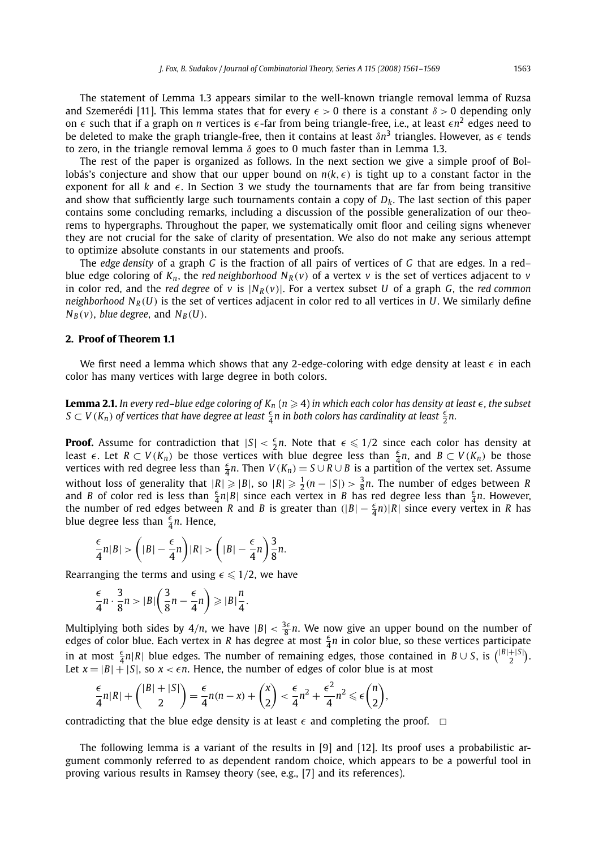The statement of Lemma 1.3 appears similar to the well-known triangle removal lemma of Ruzsa and Szemerédi [11]. This lemma states that for every  $\epsilon > 0$  there is a constant *δ* > 0 depending only on  $\epsilon$  such that if a graph on *n* vertices is  $\epsilon$ -far from being triangle-free, i.e., at least  $\epsilon n^2$  edges need to be deleted to make the graph triangle-free, then it contains at least *δn*<sup>3</sup> triangles. However, as *-* tends to zero, in the triangle removal lemma  $\delta$  goes to 0 much faster than in Lemma 1.3.

The rest of the paper is organized as follows. In the next section we give a simple proof of Bollobás's conjecture and show that our upper bound on  $n(k, \epsilon)$  is tight up to a constant factor in the exponent for all  $k$  and  $\epsilon$ . In Section 3 we study the tournaments that are far from being transitive and show that sufficiently large such tournaments contain a copy of  $D_k$ . The last section of this paper contains some concluding remarks, including a discussion of the possible generalization of our theorems to hypergraphs. Throughout the paper, we systematically omit floor and ceiling signs whenever they are not crucial for the sake of clarity of presentation. We also do not make any serious attempt to optimize absolute constants in our statements and proofs.

The *edge density* of a graph *G* is the fraction of all pairs of vertices of *G* that are edges. In a red– blue edge coloring of  $K_n$ , the *red neighborhood*  $N_R(v)$  of a vertex *v* is the set of vertices adjacent to *v* in color red, and the *red degree* of *v* is  $|N_R(v)|$ . For a vertex subset *U* of a graph *G*, the *red common neighborhood*  $N_R(U)$  is the set of vertices adjacent in color red to all vertices in *U*. We similarly define  $N_B(v)$ , *blue degree*, and  $N_B(U)$ .

## **2. Proof of Theorem 1.1**

We first need a lemma which shows that any 2-edge-coloring with edge density at least  $\epsilon$  in each color has many vertices with large degree in both colors.

**Lemma 2.1.** In every red–blue edge coloring of  $K_n$   $(n\geqslant 4)$  in which each color has density at least  $\epsilon$ , the subset *S* ⊂ *V* (*K<sub>n</sub>*) of vertices that have degree at least  $\frac{ε}{4}$ n in both colors has cardinality at least  $\frac{ε}{2}$ n.

**Proof.** Assume for contradiction that  $|S| < \frac{\epsilon}{2}n$ . Note that  $\epsilon \leq 1/2$  since each color has density at least  $\epsilon$ . Let  $R \subset V(K_n)$  be those vertices with blue degree less than  $\frac{\epsilon}{4}n$ , and  $B \subset V(K_n)$  be those vertices with red degree less than  $\frac{\epsilon}{4}n$ . Then  $V(K_n) = S \cup R \cup B$  is a partition of the vertex set. Assume without loss of generality that  $|R| \ge |B|$ , so  $|R| \ge \frac{1}{2}(n - |S|) > \frac{3}{8}n$ . The number of edges between R and B of color red is less than  $\frac{5}{4}n|B|$  since each vertex in B has red degree less than  $\frac{5}{4}n$ . However, the number of red edges between *R* and *B* is greater than  $(|B| - \frac{\epsilon}{4}n)|R|$  since every vertex in *R* has blue degree less than  $\frac{\epsilon}{4}n$ . Hence,

$$
\frac{\epsilon}{4}n|B| > \left(|B|-\frac{\epsilon}{4}n\right)|R| > \left(|B|-\frac{\epsilon}{4}n\right)\frac{3}{8}n.
$$

Rearranging the terms and using  $\epsilon \leqslant 1/2$ , we have

$$
\frac{\epsilon}{4}n \cdot \frac{3}{8}n > |B| \left( \frac{3}{8}n - \frac{\epsilon}{4}n \right) \geq |B| \frac{n}{4}.
$$

Multiplying both sides by  $4/n$ , we have  $|B| < \frac{3\epsilon}{8}n$ . We now give an upper bound on the number of edges of color blue. Each vertex in *R* has degree at most  $\frac{\epsilon}{4}n$  in color blue, so these vertices participate in at most  $\frac{\epsilon}{4}n|R|$  blue edges. The number of remaining edges, those contained in  $B \cup S$ , is  $\binom{|B|+|S|}{2}$ . Let  $x = |B| + |S|$ , so  $x < \epsilon n$ . Hence, the number of edges of color blue is at most

$$
\frac{\epsilon}{4}n|R|+\binom{|B|+|S|}{2}=\frac{\epsilon}{4}n(n-x)+\binom{x}{2}<\frac{\epsilon}{4}n^2+\frac{\epsilon^2}{4}n^2\leq \epsilon \binom{n}{2},
$$

contradicting that the blue edge density is at least  $\epsilon$  and completing the proof.  $\Box$ 

The following lemma is a variant of the results in [9] and [12]. Its proof uses a probabilistic argument commonly referred to as dependent random choice, which appears to be a powerful tool in proving various results in Ramsey theory (see, e.g., [7] and its references).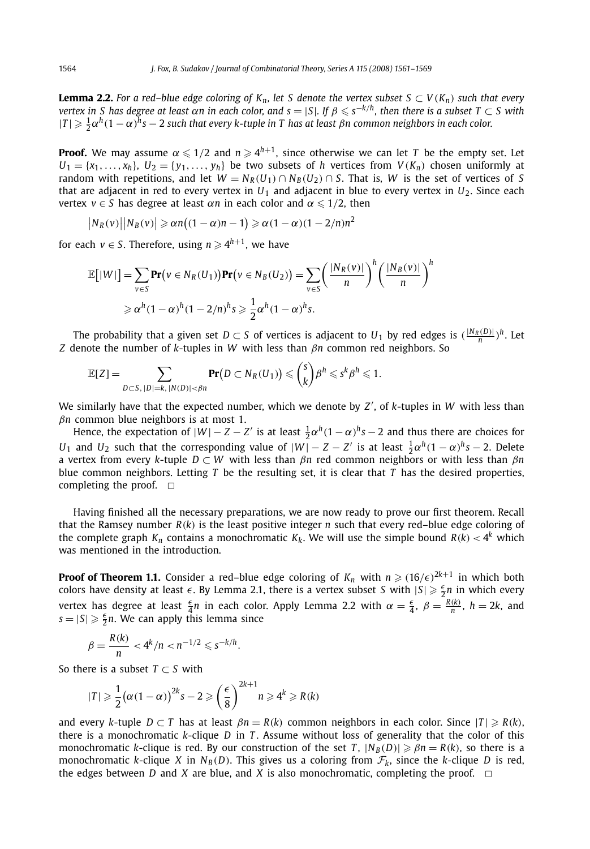**Lemma 2.2.** For a red–blue edge coloring of  $K_n$ , let S denote the vertex subset  $S \subset V(K_n)$  such that every *vertex in S has degree at least*  $\alpha n$  *in each color, and s* = |*S*|*. If*  $\beta \leq s^{-k/h}$ *, then there is a subset*  $T \subset S$  *with*  $|T| \geq \frac{1}{2} \alpha^h (1 - \alpha)^h s - 2$  such that every k-tuple in T has at least  $\beta$ n common neighbors in each color.

**Proof.** We may assume  $\alpha \leqslant 1/2$  and  $n \geqslant 4^{h+1}$ , since otherwise we can let  $T$  be the empty set. Let  $U_1 = \{x_1, \ldots, x_h\}$ ,  $U_2 = \{y_1, \ldots, y_h\}$  be two subsets of *h* vertices from  $V(K_n)$  chosen uniformly at random with repetitions, and let  $W = N_R(U_1) \cap N_B(U_2) \cap S$ . That is, *W* is the set of vertices of *S* that are adjacent in red to every vertex in  $U_1$  and adjacent in blue to every vertex in  $U_2$ . Since each vertex  $v \in S$  has degree at least  $\alpha n$  in each color and  $\alpha \leq 1/2$ , then

$$
|N_R(v)||N_B(v)| \ge \alpha n((1-\alpha)n-1) \ge \alpha(1-\alpha)(1-2/n)n^2
$$

for each  $v \in S$ . Therefore, using  $n \geqslant 4^{h+1}$ , we have

$$
\mathbb{E}[|W|] = \sum_{v \in S} \mathbf{Pr}(v \in N_R(U_1)) \mathbf{Pr}(v \in N_B(U_2)) = \sum_{v \in S} \left(\frac{|N_R(v)|}{n}\right)^h \left(\frac{|N_B(v)|}{n}\right)^h
$$
  
\n
$$
\geq \alpha^h (1 - \alpha)^h (1 - 2/n)^h s \geq \frac{1}{2} \alpha^h (1 - \alpha)^h s.
$$

The probability that a given set *D*  $\subset$  *S* of vertices is adjacent to *U*<sub>1</sub> by red edges is  $(\frac{|N_R(D)|}{n})^h$ . Let *Z* denote the number of *k*-tuples in *W* with less than *βn* common red neighbors. So

$$
\mathbb{E}[Z] = \sum_{D \subset S, \ |D| = k, \ |N(D)| < \beta n} \mathbf{Pr}(D \subset N_R(U_1)) \leqslant {s \choose k} \beta^h \leqslant s^k \beta^h \leqslant 1.
$$

We similarly have that the expected number, which we denote by *Z* , of *k*-tuples in *W* with less than *βn* common blue neighbors is at most 1.

Hence, the expectation of  $|W| - Z - Z'$  is at least  $\frac{1}{2} \alpha^h (1 - \alpha)^h s - 2$  and thus there are choices for *U*<sub>1</sub> and *U*<sub>2</sub> such that the corresponding value of  $|W| - Z - Z'$  is at least  $\frac{1}{2}\alpha^h(1-\alpha)^h s - 2$ . Delete a vertex from every *k*-tuple *D* ⊂ *W* with less than *βn* red common neighbors or with less than *βn* blue common neighbors. Letting  $T$  be the resulting set, it is clear that  $T$  has the desired properties, completing the proof.  $\Box$ 

Having finished all the necessary preparations, we are now ready to prove our first theorem. Recall that the Ramsey number  $R(k)$  is the least positive integer *n* such that every red–blue edge coloring of the complete graph  $K_n$  contains a monochromatic  $K_k$ . We will use the simple bound  $R(k) < 4^k$  which was mentioned in the introduction.

**Proof of Theorem 1.1.** Consider a red–blue edge coloring of  $K_n$  with  $n \geqslant (16/\epsilon)^{2k+1}$  in which both colors have density at least  $\epsilon$ . By Lemma 2.1, there is a vertex subset *S* with  $|S| \geq \frac{\epsilon}{2}n$  in which every vertex has degree at least  $\frac{\epsilon}{4}n$  in each color. Apply Lemma 2.2 with  $\alpha = \frac{\epsilon}{4}$ ,  $\beta = \frac{R(k)}{n}$ ,  $h = 2k$ , and  $s = |S| \geqslant \frac{\epsilon}{2}n$ . We can apply this lemma since

$$
\beta = \frac{R(k)}{n} < 4^k/n < n^{-1/2} \leqslant s^{-k/h}.
$$

So there is a subset *T* ⊂ *S* with

$$
|T| \geqslant \frac{1}{2} \big( \alpha (1 - \alpha) \big)^{2k} s - 2 \geqslant \left( \frac{\epsilon}{8} \right)^{2k+1} n \geqslant 4^k \geqslant R(k)
$$

and every *k*-tuple  $D \subset T$  has at least  $\beta n = R(k)$  common neighbors in each color. Since  $|T| \ge R(k)$ , there is a monochromatic *k*-clique *D* in *T* . Assume without loss of generality that the color of this monochromatic *k*-clique is red. By our construction of the set *T*,  $|N_B(D)| \geqslant \beta n = R(k)$ , so there is a monochromatic *k*-clique *X* in  $N_B(D)$ . This gives us a coloring from  $\mathcal{F}_k$ , since the *k*-clique *D* is red, the edges between *D* and *X* are blue, and *X* is also monochromatic, completing the proof.  $\Box$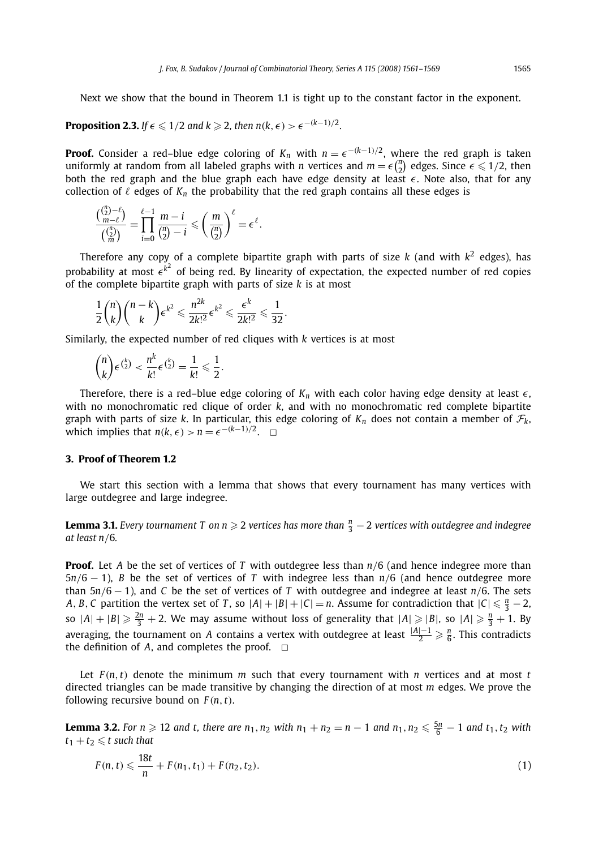Next we show that the bound in Theorem 1.1 is tight up to the constant factor in the exponent.

## **Proposition 2.3.** If  $\epsilon \leq 1/2$  and  $k \geq 2$ , then  $n(k, \epsilon) > \epsilon^{-(k-1)/2}$ .

**Proof.** Consider a red–blue edge coloring of  $K_n$  with  $n = \epsilon^{-(k-1)/2}$ , where the red graph is taken uniformly at random from all labeled graphs with *n* vertices and  $m = \epsilon {n \choose 2}$  edges. Since  $\epsilon \leq 1/2$ , then both the red graph and the blue graph each have edge density at least  $\epsilon$ . Note also, that for any both the red graph and the blue graph each have edge density at least  $\epsilon$ . Note also, that for any collection of  $\ell$  edges of  $K_n$  the probability that the red graph contains all these edges is

$$
\frac{\binom{\binom{n}{2}-\ell}{m-\ell}}{\binom{\binom{n}{2}}{m}}=\prod_{i=0}^{\ell-1}\frac{m-i}{\binom{n}{2}-i}\leqslant \left(\frac{m}{\binom{n}{2}}\right)^{\ell}=\epsilon^{\ell}.
$$

Therefore any copy of a complete bipartite graph with parts of size  $k$  (and with  $k^2$  edges), has probability at most  $\epsilon^{k^2}$  of being red. By linearity of expectation, the expected number of red copies of the complete bipartite graph with parts of size *k* is at most

$$
\frac{1}{2}\binom{n}{k}\binom{n-k}{k}\epsilon^{k^2}\leqslant \frac{n^{2k}}{2k!^2}\epsilon^{k^2}\leqslant \frac{\epsilon^k}{2k!^2}\leqslant \frac{1}{32}.
$$

Similarly, the expected number of red cliques with *k* vertices is at most

$$
\binom{n}{k} \epsilon^{\binom{k}{2}} < \frac{n^k}{k!} \epsilon^{\binom{k}{2}} = \frac{1}{k!} \leqslant \frac{1}{2}.
$$

Therefore, there is a red–blue edge coloring of  $K_n$  with each color having edge density at least  $\epsilon$ , with no monochromatic red clique of order *k*, and with no monochromatic red complete bipartite graph with parts of size *k*. In particular, this edge coloring of  $K_n$  does not contain a member of  $\mathcal{F}_k$ , which implies that  $n(k, \epsilon) > n = \epsilon^{-(k-1)/2}$ .  $\Box$ 

## **3. Proof of Theorem 1.2**

We start this section with a lemma that shows that every tournament has many vertices with large outdegree and large indegree.

**Lemma 3.1.** *Every tournament T on n*  $\geqslant$  *2 vertices has more than*  $\frac{n}{3}-2$  *vertices with outdegree and indegree at least n/*6*.*

**Proof.** Let *A* be the set of vertices of *T* with outdegree less than *n/*6 (and hence indegree more than 5*n/*6 − 1), *B* be the set of vertices of *T* with indegree less than *n/*6 (and hence outdegree more than 5*n/*6 − 1), and *C* be the set of vertices of *T* with outdegree and indegree at least *n/*6. The sets *A*, *B*, *C* partition the vertex set of *T*, so  $|A| + |B| + |C| = n$ . Assume for contradiction that  $|C| \le \frac{n}{3} - 2$ , so  $|A|+|B| \geqslant \frac{2n}{3}+2$ . We may assume without loss of generality that  $|A| \geqslant |B|$ , so  $|A| \geqslant \frac{n}{3}+1$ . By averaging, the tournament on *A* contains a vertex with outdegree at least  $\frac{|A|-1}{2} \geqslant \frac{n}{6}$ . This contradicts the definition of  $A$ , and completes the proof.  $\Box$ 

Let  $F(n, t)$  denote the minimum *m* such that every tournament with *n* vertices and at most *t* directed triangles can be made transitive by changing the direction of at most *m* edges. We prove the following recursive bound on  $F(n, t)$ .

**Lemma 3.2.** For  $n \ge 12$  and t, there are  $n_1, n_2$  with  $n_1 + n_2 = n - 1$  and  $n_1, n_2 ≤ \frac{5n}{6} - 1$  and  $t_1, t_2$  with  $t_1 + t_2 \leq t$  such that

$$
F(n,t) \leqslant \frac{18t}{n} + F(n_1,t_1) + F(n_2,t_2). \tag{1}
$$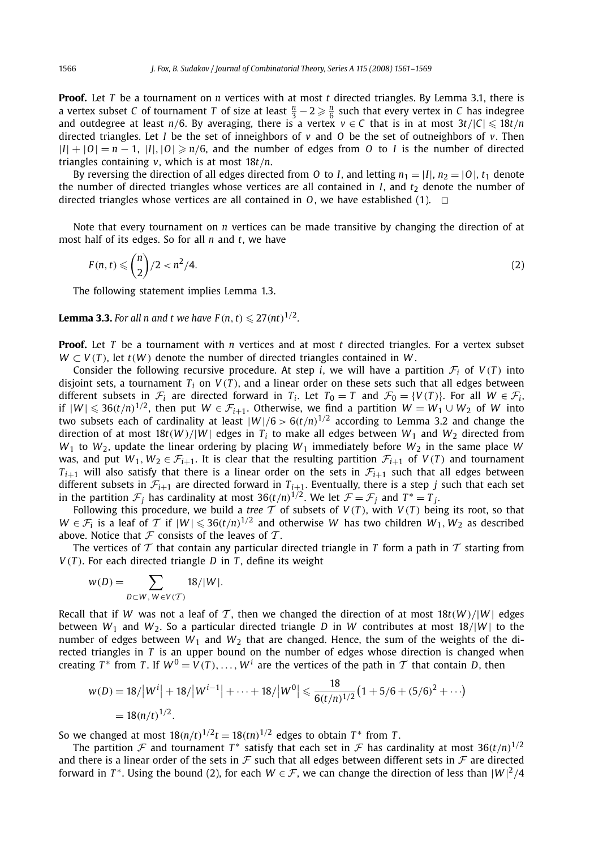**Proof.** Let *T* be a tournament on *n* vertices with at most *t* directed triangles. By Lemma 3.1, there is a vertex subset *C* of tournament *T* of size at least  $\frac{n}{3} - 2 \geq \frac{n}{6}$  such that every vertex in *C* has indegree and outdegree at least  $n/6$ . By averaging, there is a vertex  $v \in C$  that is in at most  $3t/|C| \leq 18t/n$ directed triangles. Let *I* be the set of inneighbors of *v* and *O* be the set of outneighbors of *v*. Then  $|I| + |O| = n - 1$ ,  $|I|, |O| \ge n/6$ , and the number of edges from *O* to *I* is the number of directed triangles containing *v*, which is at most 18*t/n*.

By reversing the direction of all edges directed from *O* to *I*, and letting  $n_1 = |I|$ ,  $n_2 = |O|$ ,  $t_1$  denote the number of directed triangles whose vertices are all contained in  $I$ , and  $t<sub>2</sub>$  denote the number of directed triangles whose vertices are all contained in  $O$ , we have established (1).  $\Box$ 

Note that every tournament on *n* vertices can be made transitive by changing the direction of at most half of its edges. So for all *n* and *t*, we have

$$
F(n,t) \leqslant {n \choose 2}/2 < n^2/4.
$$
\n<sup>(2)</sup>

The following statement implies Lemma 1.3.

**Lemma 3.3.** For all n and t we have  $F(n, t) \le 27(nt)^{1/2}$ .

**Proof.** Let *T* be a tournament with *n* vertices and at most *t* directed triangles. For a vertex subset  $W \subset V(T)$ , let  $t(W)$  denote the number of directed triangles contained in W.

Consider the following recursive procedure. At step *i*, we will have a partition  $\mathcal{F}_i$  of  $V(T)$  into disjoint sets, a tournament  $T_i$  on  $V(T)$ , and a linear order on these sets such that all edges between different subsets in  $\mathcal{F}_i$  are directed forward in  $T_i$ . Let  $T_0 = T$  and  $\mathcal{F}_0 = \{V(T)\}$ . For all  $W \in \mathcal{F}_i$ , if  $|W| ≤ 36(t/n)^{1/2}$ , then put  $W ∈ F_{i+1}$ . Otherwise, we find a partition  $W = W_1 ∪ W_2$  of *W* into two subsets each of cardinality at least  $|W|/6 > 6(t/n)^{1/2}$  according to Lemma 3.2 and change the direction of at most  $18t(W)/|W|$  edges in  $T_i$  to make all edges between  $W_1$  and  $W_2$  directed from  $W_1$  to  $W_2$ , update the linear ordering by placing  $W_1$  immediately before  $W_2$  in the same place  $W$ was, and put  $W_1, W_2 \in \mathcal{F}_{i+1}$ . It is clear that the resulting partition  $\mathcal{F}_{i+1}$  of  $V(T)$  and tournament  $T_{i+1}$  will also satisfy that there is a linear order on the sets in  $\mathcal{F}_{i+1}$  such that all edges between different subsets in  $\mathcal{F}_{i+1}$  are directed forward in  $T_{i+1}$ . Eventually, there is a step *j* such that each set in the partition  $\mathcal{F}_j$  has cardinality at most 36 $(t/n)^{1/2}$ . We let  $\mathcal{F} = \mathcal{F}_j$  and  $T^* = T_j$ .

Following this procedure, we build a *tree*  $T$  of subsets of  $V(T)$ , with  $V(T)$  being its root, so that *W* ∈  $\mathcal{F}_i$  is a leaf of  $\mathcal{T}$  if  $|W| ≤ 36(t/n)^{1/2}$  and otherwise *W* has two children  $W_1, W_2$  as described above. Notice that  $\mathcal F$  consists of the leaves of  $\mathcal T$ .

The vertices of  $T$  that contain any particular directed triangle in  $T$  form a path in  $T$  starting from  $V(T)$ . For each directed triangle *D* in *T*, define its weight

$$
w(D) = \sum_{D \subset W, W \in V(\mathcal{T})} 18/|W|.
$$

Recall that if *W* was not a leaf of T, then we changed the direction of at most  $18t(W)/|W|$  edges between  $W_1$  and  $W_2$ . So a particular directed triangle *D* in *W* contributes at most 18/ $|W|$  to the number of edges between  $W_1$  and  $W_2$  that are changed. Hence, the sum of the weights of the directed triangles in *T* is an upper bound on the number of edges whose direction is changed when creating  $T^*$  from *T*. If  $W^0 = V(T), \ldots, W^i$  are the vertices of the path in  $T$  that contain *D*, then

$$
w(D) = 18/|W^{i}| + 18/|W^{i-1}| + \dots + 18/|W^{0}| \leq \frac{18}{6(t/n)^{1/2}} \left(1 + 5/6 + (5/6)^{2} + \dots\right)
$$
  
= 18(n/t)<sup>1/2</sup>.

So we changed at most  $18(n/t)^{1/2}t = 18(tn)^{1/2}$  edges to obtain  $T^*$  from  $T$ .

The partition  $\mathcal F$  and tournament  $T^*$  satisfy that each set in  $\mathcal F$  has cardinality at most 36*(t/n*)<sup>1/2</sup> and there is a linear order of the sets in  $\mathcal F$  such that all edges between different sets in  $\mathcal F$  are directed forward in  $T^*$ . Using the bound (2), for each  $W \in \mathcal{F}$ , we can change the direction of less than  $|W|^2/4$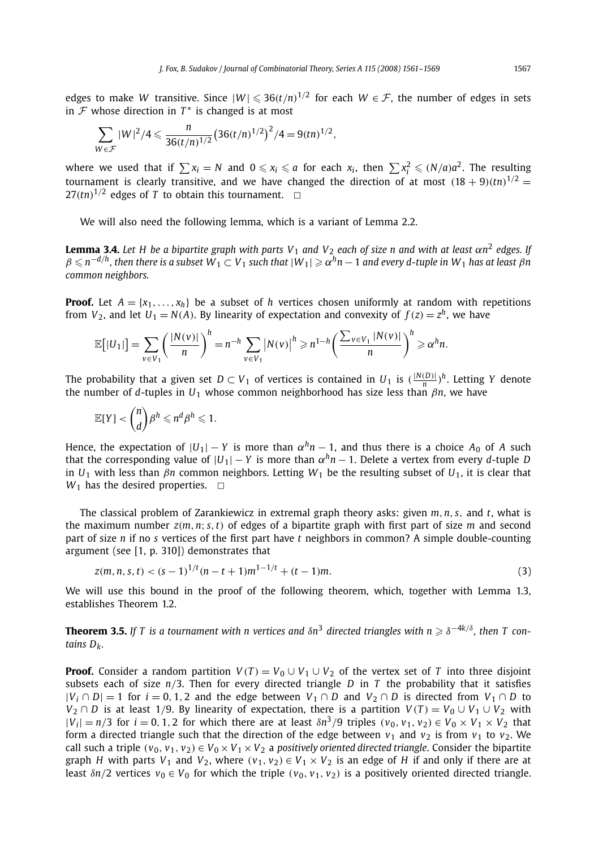edges to make *W* transitive. Since  $|W| \le 36(t/n)^{1/2}$  for each  $W \in \mathcal{F}$ , the number of edges in sets in  $\mathcal F$  whose direction in  $T^*$  is changed is at most

$$
\sum_{W \in \mathcal{F}} |W|^2/4 \leq \frac{n}{36(t/n)^{1/2}} \left(36(t/n)^{1/2}\right)^2/4 = 9(tn)^{1/2},
$$

where we used that if  $\sum x_i = N$  and  $0 \le x_i \le a$  for each  $x_i$ , then  $\sum x_i^2 \le (N/a)a^2$ . The resulting tournament is clearly transitive, and we have changed the direction of at most  $(18 + 9)(\text{tn})^{1/2}$  $27(tn)^{1/2}$  edges of T to obtain this tournament.  $\Box$ 

We will also need the following lemma, which is a variant of Lemma 2.2.

**Lemma 3.4.** Let H be a bipartite graph with parts V<sub>1</sub> and V<sub>2</sub> each of size n and with at least  $\alpha n^2$  edges. If  $\beta\leqslant n^{-d/h}$ , then there is a subset  $W_1\subset V_1$  such that  $|W_1|\geqslant \alpha^h n-1$  and every d-tuple in  $W_1$  has at least  $\beta n$ *common neighbors.*

**Proof.** Let  $A = \{x_1, \ldots, x_h\}$  be a subset of *h* vertices chosen uniformly at random with repetitions from  $V_2$ , and let  $U_1 = N(A)$ . By linearity of expectation and convexity of  $f(z) = z^h$ , we have

$$
\mathbb{E}[|U_1|] = \sum_{v \in V_1} \left(\frac{|N(v)|}{n}\right)^h = n^{-h} \sum_{v \in V_1} |N(v)|^h \geq n^{1-h} \left(\frac{\sum_{v \in V_1} |N(v)|}{n}\right)^h \geq \alpha^h n.
$$

The probability that a given set  $D \subset V_1$  of vertices is contained in  $U_1$  is  $(\frac{|N(D)|}{n})^h$ . Letting *Y* denote the number of *d*-tuples in *U*<sup>1</sup> whose common neighborhood has size less than *βn*, we have

$$
\mathbb{E}[Y] < \binom{n}{d} \beta^h \leqslant n^d \beta^h \leqslant 1.
$$

Hence, the expectation of  $|U_1| - Y$  is more than  $\alpha^h n - 1$ , and thus there is a choice  $A_0$  of A such that the corresponding value of  $|U_1| - Y$  is more than  $\alpha^h n - 1$ . Delete a vertex from every *d*-tuple *D* in *U*<sup>1</sup> with less than *βn* common neighbors. Letting *W*<sup>1</sup> be the resulting subset of *U*1, it is clear that  $W_1$  has the desired properties.  $\Box$ 

The classical problem of Zarankiewicz in extremal graph theory asks: given *m,n, s,* and *t*, what is the maximum number *z(m,n*; *s,t)* of edges of a bipartite graph with first part of size *m* and second part of size *n* if no *s* vertices of the first part have *t* neighbors in common? A simple double-counting argument (see [1, p. 310]) demonstrates that

$$
z(m, n, s, t) < (s - 1)^{1/t} (n - t + 1) m^{1 - 1/t} + (t - 1) m. \tag{3}
$$

We will use this bound in the proof of the following theorem, which, together with Lemma 1.3, establishes Theorem 1.2.

**Theorem 3.5.** If T is a tournament with n vertices and  $\delta n^3$  directed triangles with  $n \geqslant \delta^{-4k/\delta}$ , then T con*tains Dk.*

**Proof.** Consider a random partition  $V(T) = V_0 \cup V_1 \cup V_2$  of the vertex set of *T* into three disjoint subsets each of size  $n/3$ . Then for every directed triangle  $D$  in  $T$  the probability that it satisfies  $|V_i \cap D| = 1$  for  $i = 0, 1, 2$  and the edge between  $V_1 \cap D$  and  $V_2 \cap D$  is directed from  $V_1 \cap D$  to *V*<sub>2</sub> ∩ *D* is at least 1/9. By linearity of expectation, there is a partition  $V(T) = V_0 ∪ V_1 ∪ V_2$  with  $|V_i| = n/3$  for  $i = 0, 1, 2$  for which there are at least  $\delta n^3/9$  triples  $(v_0, v_1, v_2) \in V_0 \times V_1 \times V_2$  that form a directed triangle such that the direction of the edge between  $v_1$  and  $v_2$  is from  $v_1$  to  $v_2$ . We call such a triple  $(v_0, v_1, v_2) \in V_0 \times V_1 \times V_2$  a *positively oriented directed triangle*. Consider the bipartite graph *H* with parts  $V_1$  and  $V_2$ , where  $(v_1, v_2) \in V_1 \times V_2$  is an edge of *H* if and only if there are at least  $\delta n/2$  vertices  $v_0 \in V_0$  for which the triple  $(v_0, v_1, v_2)$  is a positively oriented directed triangle.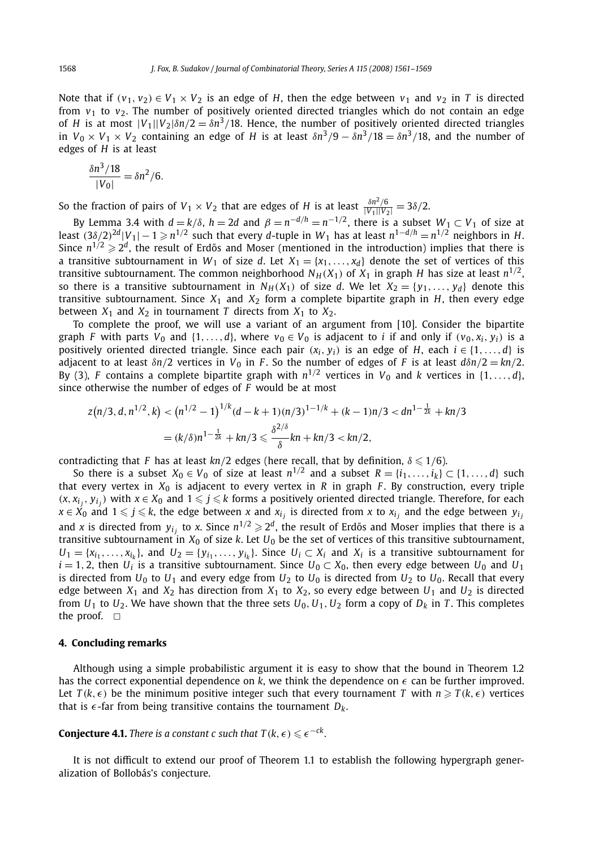Note that if  $(v_1, v_2) \in V_1 \times V_2$  is an edge of *H*, then the edge between  $v_1$  and  $v_2$  in *T* is directed from  $v_1$  to  $v_2$ . The number of positively oriented directed triangles which do not contain an edge of *H* is at most  $|V_1||V_2|\delta n/2 = \delta n^3/18$ . Hence, the number of positively oriented directed triangles in  $V_0 \times V_1 \times V_2$  containing an edge of *H* is at least  $\delta n^3/9 - \delta n^3/18 = \delta n^3/18$ , and the number of edges of *H* is at least

$$
\frac{\delta n^3/18}{|V_0|} = \delta n^2/6.
$$

So the fraction of pairs of  $V_1 \times V_2$  that are edges of *H* is at least  $\frac{\delta n^2/6}{|V_1||V_2|} = 3\delta/2$ .

By Lemma 3.4 with  $d = k/\delta$ ,  $h = 2d$  and  $\beta = n^{-d/h} = n^{-1/2}$ , there is a subset  $W_1 \subset V_1$  of size at least  $(3\delta/2)^{2d}|V_1|-1\geqslant n^{1/2}$  such that every *d*-tuple in  $W_1$  has at least  $n^{1-d/h}=n^{1/2}$  neighbors in  $H.$ Since  $n^{1/2} \geqslant 2^d$ , the result of Erdős and Moser (mentioned in the introduction) implies that there is a transitive subtournament in  $W_1$  of size *d*. Let  $X_1 = \{x_1, \ldots, x_d\}$  denote the set of vertices of this transitive subtournament. The common neighborhood  $N_H(X_1)$  of  $X_1$  in graph *H* has size at least  $n^{1/2}$ , so there is a transitive subtournament in  $N_H(X_1)$  of size *d*. We let  $X_2 = \{y_1, \ldots, y_d\}$  denote this transitive subtournament. Since  $X_1$  and  $X_2$  form a complete bipartite graph in  $H$ , then every edge between  $X_1$  and  $X_2$  in tournament *T* directs from  $X_1$  to  $X_2$ .

To complete the proof, we will use a variant of an argument from [10]. Consider the bipartite graph *F* with parts  $V_0$  and  $\{1, \ldots, d\}$ , where  $v_0 \in V_0$  is adjacent to *i* if and only if  $(v_0, x_i, y_i)$  is a positively oriented directed triangle. Since each pair  $(x_i, y_i)$  is an edge of *H*, each  $i \in \{1, \ldots, d\}$  is adjacent to at least  $\delta n/2$  vertices in  $V_0$  in *F*. So the number of edges of *F* is at least  $d\delta n/2 = kn/2$ . By (3), *F* contains a complete bipartite graph with  $n^{1/2}$  vertices in  $V_0$  and *k* vertices in  $\{1, \ldots, d\}$ , since otherwise the number of edges of *F* would be at most

$$
z(n/3, d, n^{1/2}, k) < (n^{1/2} - 1)^{1/k} (d - k + 1)(n/3)^{1 - 1/k} + (k - 1)n/3 < dn^{1 - \frac{1}{2k}} + kn/3
$$
  
=  $(k/\delta)n^{1 - \frac{1}{2k}} + kn/3 \le \frac{\delta^{2/\delta}}{\delta}kn + kn/3 < kn/2,$ 

contradicting that *F* has at least  $kn/2$  edges (here recall, that by definition,  $\delta \leq 1/6$ ).

So there is a subset  $X_0 \in V_0$  of size at least  $n^{1/2}$  and a subset  $R = \{i_1, \ldots, i_k\} \subset \{1, \ldots, d\}$  such that every vertex in  $X_0$  is adjacent to every vertex in  $R$  in graph  $F$ . By construction, every triple  $(x, x_{i_j}, y_{i_j})$  with  $x \in X_0$  and  $1 \leqslant j \leqslant k$  forms a positively oriented directed triangle. Therefore, for each *x* ∈  $\vec{X}_0$  and 1 ≤ *j* ≤ *k*, the edge between *x* and  $x_i$  *j* is directed from *x* to  $x_i$  and the edge between  $y_i$ and *x* is directed from  $y_{i_j}$  to *x*. Since  $n^{1/2} \geqslant 2^d$ , the result of Erdős and Moser implies that there is a transitive subtournament in  $X_0$  of size  $k$ . Let  $U_0$  be the set of vertices of this transitive subtournament,  $U_1 = \{x_{i_1}, \ldots, x_{i_k}\}$ , and  $U_2 = \{y_{i_1}, \ldots, y_{i_k}\}$ . Since  $U_i \subset X_i$  and  $X_i$  is a transitive subtournament for  $i = 1, 2$ , then *U<sub>i</sub>* is a transitive subtournament. Since *U*<sub>0</sub> ⊂ *X*<sub>0</sub>, then every edge between *U*<sub>0</sub> and *U*<sub>1</sub> is directed from  $U_0$  to  $U_1$  and every edge from  $U_2$  to  $U_0$  is directed from  $U_2$  to  $U_0$ . Recall that every edge between  $X_1$  and  $X_2$  has direction from  $X_1$  to  $X_2$ , so every edge between  $U_1$  and  $U_2$  is directed from  $U_1$  to  $U_2$ . We have shown that the three sets  $U_0$ ,  $U_1$ ,  $U_2$  form a copy of  $D_k$  in *T*. This completes the proof.  $\Box$ 

## **4. Concluding remarks**

Although using a simple probabilistic argument it is easy to show that the bound in Theorem 1.2 has the correct exponential dependence on  $k$ , we think the dependence on  $\epsilon$  can be further improved. Let  $T(k, \epsilon)$  be the minimum positive integer such that every tournament *T* with  $n \geqslant T(k, \epsilon)$  vertices that is  $\epsilon$ -far from being transitive contains the tournament  $D_k$ .

**Conjecture 4.1.** There is a constant c such that  $T(k, \epsilon) \leqslant \epsilon^{-ck}$ .

It is not difficult to extend our proof of Theorem 1.1 to establish the following hypergraph generalization of Bollobás's conjecture.